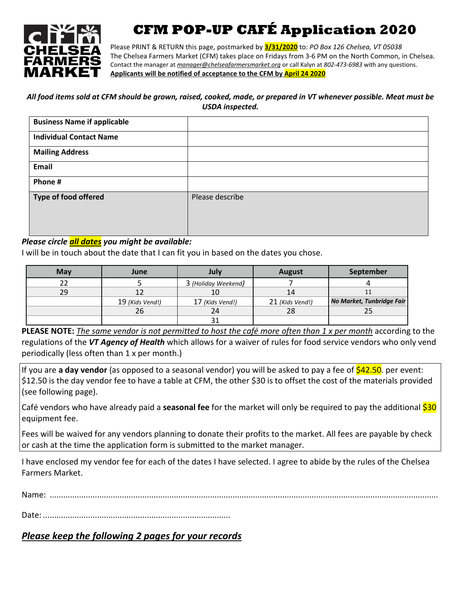

# **CFM POP-UP CAFÉ Application 2020**

Please PRINT & RETURN this page, postmarked by **3/31/2020** to: *PO Box 126 Chelsea, VT 05038* The Chelsea Farmers Market (CFM) takes place on Fridays from 3-6 PM on the North Common, in Chelsea. Contact the manager at *[manager@chelseafarmersmarket.org](mailto:manager@chelseafarmersmarket.org)* or call Kalyn at *802-473-6983* with any questions. **Applicants will be notified of acceptance to the CFM by April 24 2020**

#### All food items sold at CFM should be grown, raised, cooked, made, or prepared in VT whenever possible. Meat must be *USDA inspected.*

| <b>Business Name if applicable</b> |                 |
|------------------------------------|-----------------|
| <b>Individual Contact Name</b>     |                 |
| <b>Mailing Address</b>             |                 |
| Email                              |                 |
| Phone #                            |                 |
| Type of food offered               | Please describe |
|                                    |                 |
|                                    |                 |

### *Please circle all dates you might be available:*

I will be in touch about the date that I can fit you in based on the dates you chose.

| May | June            | Julv                | <b>August</b>   | September                 |
|-----|-----------------|---------------------|-----------------|---------------------------|
|     |                 | 3 (Holiday Weekend) |                 |                           |
| 29  |                 | 10                  | 14              |                           |
|     | 19 (Kids Vend!) | 17 (Kids Vend!)     | 21 (Kids Vend!) | No Market, Tunbridge Fair |
|     | 26              | 24                  | 28              |                           |
|     |                 |                     |                 |                           |

PLEASE NOTE: The same vendor is not permitted to host the café more often than 1 x per month according to the regulations of the *VT Agency of Health* which allows for a waiver of rules for food service vendors who only vend periodically (less often than 1 x per month.)

If you are **a day vendor** (as opposed to a seasonal vendor) you will be asked to pay a fee of  $$42.50$ . per event: \$12.50 is the day vendor fee to have a table at CFM, the other \$30 is to offset the cost of the materials provided (see following page).

Café vendors who have already paid a **seasonal fee** for the market will only be required to pay the additional \$30 equipment fee.

Fees will be waived for any vendors planning to donate their profits to the market. All fees are payable by check or cash at the time the application form is submitted to the market manager.

I have enclosed my vendor fee for each of the dates I have selected. I agree to abide by the rules of the Chelsea Farmers Market.

Name: ............................................................................................................................................................................

Date: ...................................................................................

## *Please keep the following 2 pages for your records*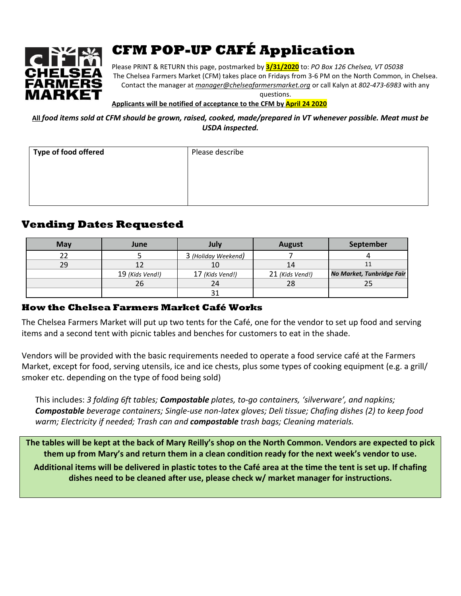

# **CFM POP-UP CAFÉ Application**

Please PRINT & RETURN this page, postmarked by **3/31/2020** to: *PO Box 126 Chelsea, VT 05038* The Chelsea Farmers Market (CFM) takes place on Fridays from 3-6 PM on the North Common, in Chelsea. Contact the manager at *[manager@chelseafarmersmarket.org](mailto:manager@chelseafarmersmarket.org)* or call Kalyn at *802-473-6983* with any

questions.

**Applicants will be notified of acceptance to the CFM by April 24 2020**

All food items sold at CFM should be grown, raised, cooked, made/prepared in VT whenever possible. Meat must be *USDA inspected.*

| <b>Type of food offered</b> | Please describe |
|-----------------------------|-----------------|
|                             |                 |
|                             |                 |
|                             |                 |

# **Vending Dates Requested**

| <b>May</b> | June            | July                | <b>August</b>   | September                 |
|------------|-----------------|---------------------|-----------------|---------------------------|
|            |                 | 3 (Holiday Weekend) |                 |                           |
| 29         |                 | 10                  | 14              |                           |
|            | 19 (Kids Vend!) | 17 (Kids Vend!)     | 21 (Kids Vend!) | No Market, Tunbridge Fair |
|            | 26              |                     | 28              |                           |
|            |                 |                     |                 |                           |

### **How the Chelsea Farmers Market Café Works**

The Chelsea Farmers Market will put up two tents for the Café, one for the vendor to set up food and serving items and a second tent with picnic tables and benches for customers to eat in the shade.

Vendors will be provided with the basic requirements needed to operate a food service café at the Farmers Market, except for food, serving utensils, ice and ice chests, plus some types of cooking equipment (e.g. a grill/ smoker etc. depending on the type of food being sold)

This includes: *3 folding 6ft tables; Compostable plates, to-go containers, 'silverware', and napkins; Compostable beverage containers; Single-use non-latex gloves; Deli tissue; Chafing dishes (2) to keep food warm; Electricity if needed; Trash can and compostable trash bags; Cleaning materials.*

The tables will be kept at the back of Mary Reilly's shop on the North Common. Vendors are expected to pick them up from Mary's and return them in a clean condition ready for the next week's vendor to use.

Additional items will be delivered in plastic totes to the Café area at the time the tent is set up. If chafing **dishes need to be cleaned after use, please check w/ market manager for instructions.**